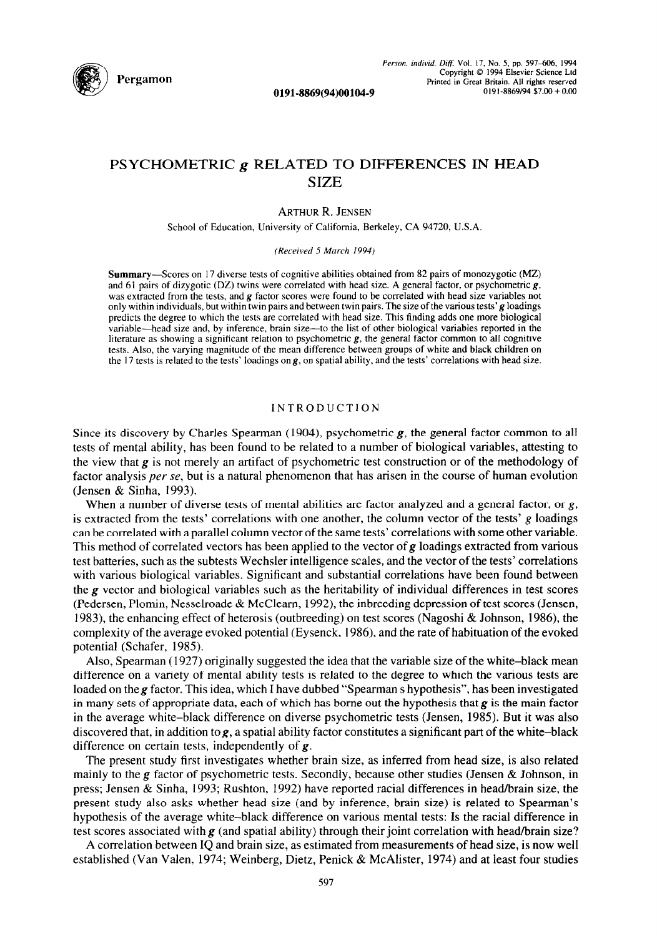

# **PSYCHOMETRIC g RELATED TO DIFFERENCES IN HEAD SIZE**

0191-8869(94)00104-9

ARTHUR R. JENSEN

School of Education, University of California, Berkeley, CA 94720, U.S.A.

#### *(Received 5 March 1994)*

**Summary-Scores on 17** diverse tests of cognitive abilities obtained from 82 pairs of monozygotic (MZ) and 61 pairs of dizygotic (DZ) twins were correlated with head size. A general factor, or psychometric  $g$ , was extracted from the tests, and g factor scores were found to be correlated with head size variables not only within individuals, but within twin pairs and between twin pairs. The size of the various tests'  $g$  loading predicts the degree to which the tests are correlated with head size. This finding adds one more biological variable-head size and, by inference, brain size-to the list of other biological variables reported in the literature as showing a significant relation to psychometric g, the general factor common to all cognitive tests. Also, the varying magnitude of the mean difference between groups of white and black children on the 17 tests is related to the tests' loadings on  $g$ , on spatial ability, and the tests' correlations with head size.

# INTRODUCTION

Since its discovery by Charles Spearman (1904), psychometric g, the general factor common to all tests of mental ability, has been found to be related to a number of biological variables, attesting to the view that  $g$  is not merely an artifact of psychometric test construction or of the methodology of factor analysis per se, but is a natural phenomenon that has arisen in the course of human evolution (Jensen & Sinha, 1993).

When a number of diverse tests of mental abilities are factor analyzed and a general factor, or  $g$ , is extracted from the tests' correlations with one another, the column vector of the tests' g loadings can be correlated with a parallel column vector of the same tests' correlations with some other variable. This method of correlated vectors has been applied to the vector of  $g$  loadings extracted from various test batteries, such as the subtests Wechsler intelligence scales, and the vector of the tests' correlations with various biological variables. Significant and substantial correlations have been found between the g vector and biological variables such as the heritability of individual differences in test scores (Pedersen, Plomin, Nesselroade & McCleam, 1992), the inbreeding depression of test scores (Jensen, 1983), the enhancing effect of heterosis (outbreeding) on test scores (Nagoshi & Johnson, 1986), the complexity of the average evoked potential (Eysenck, 1986), and the rate of habituation of the evoked potential (Schafer, 1985).

Also, Spearman (1927) originally suggested the idea that the variable size of the white-black mean difference on a variety of mental ability tests is related to the degree to which the various tests are loaded on the g factor. This idea, which I have dubbed "Spearman s hypothesis", has been investigated in many sets of appropriate data, each of which has borne out the hypothesis that  $g$  is the main factor in the average white-black difference on diverse psychometric tests (Jensen, 1985). But it was also discovered that, in addition to  $g$ , a spatial ability factor constitutes a significant part of the white-black difference on certain tests, independently of  $g$ .

The present study first investigates whether brain size, as inferred from head size, is also related mainly to the g factor of psychometric tests. Secondly, because other studies (Jensen & Johnson, in press; Jensen & Sinha, 1993; Rushton, 1992) have reported racial differences in head/brain size, the present study also asks whether head size (and by inference, brain size) is related to Spearman's hypothesis of the average white-black difference on various mental tests: Is the racial difference in test scores associated with  $g$  (and spatial ability) through their joint correlation with head/brain size?

A correlation between IQ and brain size, as estimated from measurements of head size, is now well established (Van Valen, 1974; Weinberg, Dietz, Penick & McAlister, 1974) and at least four studies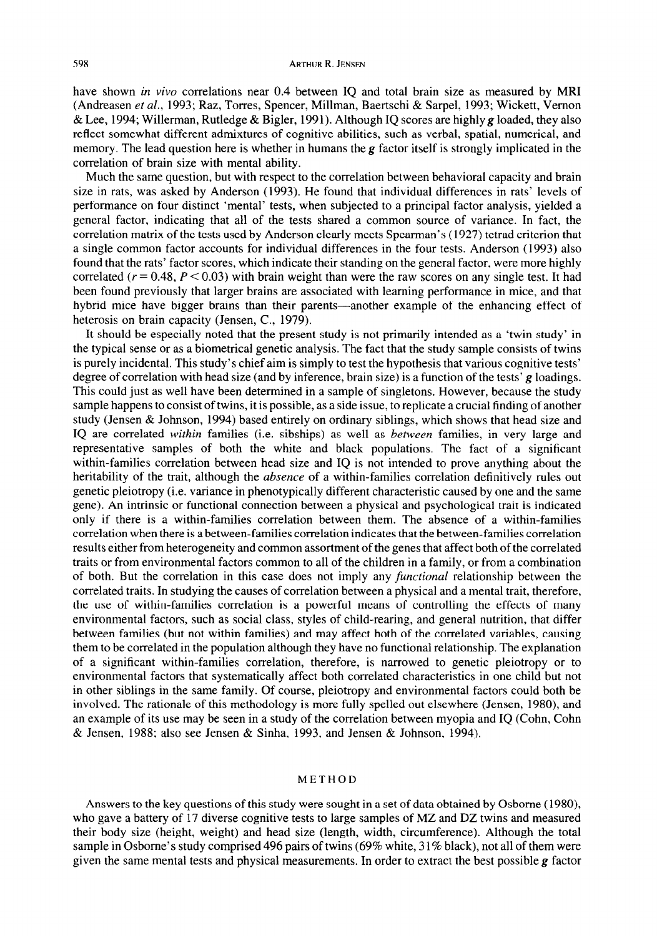have shown in vivo correlations near 0.4 between IQ and total brain size as measured by MRI (Andreasen et *al.,* 1993; Raz, Torres, Spencer, Millman, Baertschi & Sarpel, 1993; Wickett, Vernon & Lee, 1994; Willerman, Rutledge & Bigler, 1991). Although IQ scores are highly g loaded, they also reflect somewhat different admixtures of cognitive abilities, such as verbal, spatial, numerical, and memory. The lead question here is whether in humans the  $g$  factor itself is strongly implicated in the correlation of brain size with mental ability.

Much the same question, but with respect to the correlation between behavioral capacity and brain size in rats, was asked by Anderson (1993). He found that individual differences in rats' levels of performance on four distinct 'mental' tests, when subjected to a principal factor analysis, yielded a general factor, indicating that all of the tests shared a common source of variance. In fact, the correlation matrix of the tests used by Anderson clearly meets Spearman's (1927) tetrad criterion that a single common factor accounts for individual differences in the four tests. Anderson (1993) also found that the rats' factor scores, which indicate their standing on the general factor, were more highly correlated ( $r = 0.48$ ,  $P < 0.03$ ) with brain weight than were the raw scores on any single test. It had been found previously that larger brains are associated with learning performance in mice, and that hybrid mice have bigger brains than their parents—another example of the enhancing effect of heterosis on brain capacity (Jensen, C., 1979).

It should be especially noted that the present study is not primarily intended as a 'twin study' in the typical sense or as a biometrical genetic analysis. The fact that the study sample consists of twins is purely incidental. This study's chief aim is simply to test the hypothesis that various cognitive tests' degree of correlation with head size (and by inference, brain size) is a function of the tests' g loadings. This could just as well have been determined in a sample of singletons. However, because the study sample happens to consist of twins, it is possible, as a side issue, to replicate a crucial finding of another study (Jensen & Johnson, 1994) based entirely on ordinary siblings, which shows that head size and IQ are correlated within families (i.e. sibships) as well as *between* families, in very large and representative samples of both the white and black populations. The fact of a significant within-families correlation between head size and IQ is not intended to prove anything about the heritability of the trait, although the *absence* of a within-families correlation definitively rules out genetic pleiotropy (i.e. variance in phenotypically different characteristic caused by one and the same gene). An intrinsic or functional connection between a physical and psychological trait is indicated only if there is a within-families correlation between them. The absence of a within-families correlation when there is a between-families correlation indicates that the between-families correlation results either from heterogeneity and common assortment of the genes that affect both of the correlated traits or from environmental factors common to all of the children in a family, or from a combination of both. But the correlation in this case does not imply any *functional* relationship between the correlated traits. In studying the causes of correlation between a physical and a mental trait, therefore, the use of within-families correlation is a powerful means of controlling the effects of many environmental factors, such as social class, styles of child-rearing, and general nutrition, that differ between families (but not within families) and may affect both of the correlated variables, causing them to be correlated in the population although they have no functional relationship. The explanation of a significant within-families correlation, therefore, is narrowed to genetic pleiotropy or to environmental factors that systematically affect both correlated characteristics in one child but not in other siblings in the same family. Of course, pleiotropy and environmental factors could both be involved. The rationale of this methodology is more fully spelled out elsewhere (Jensen, 1980), and an example of its use may be seen in a study of the correlation between myopia and IQ (Cohn, Cohn & Jensen, 1988; also see Jensen & Sinha, 1993, and Jensen & Johnson, 1994).

### METHOD

Answers to the key questions of this study were sought in a set of data obtained by Osborne (1980), who gave a battery of 17 diverse cognitive tests to large samples of MZ and DZ twins and measured their body size (height, weight) and head size (length, width, circumference). Although the total sample in Osborne's study comprised 496 pairs of twins (69% white, 3 1% black), not all of them were given the same mental tests and physical measurements. In order to extract the best possible g factor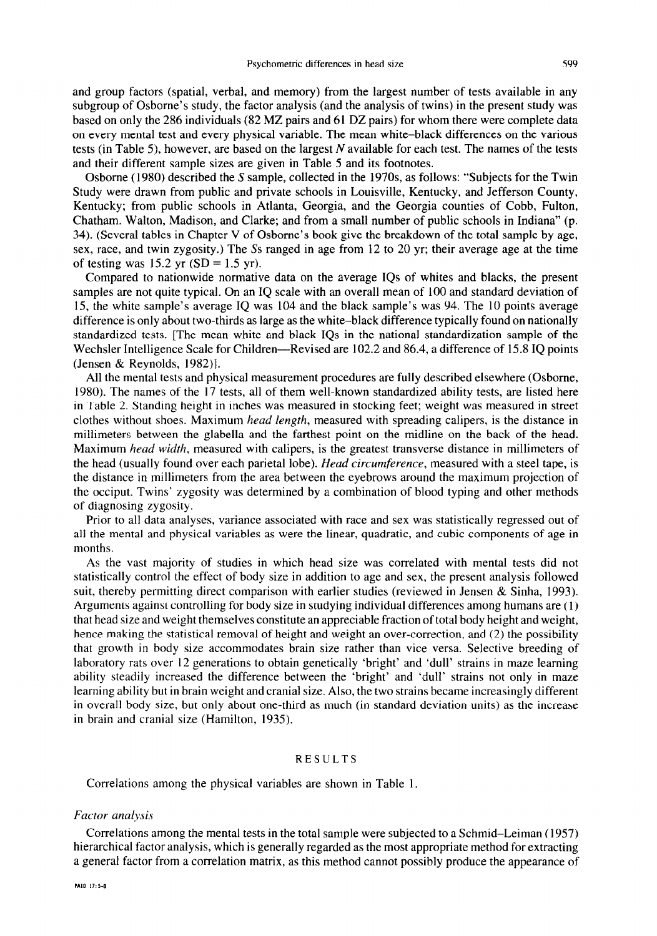and group factors (spatial, verbal, and memory) from the largest number of tests available in any subgroup of Osborne's study, the factor analysis (and the analysis of twins) in the present study was based on only the 286 individuals (82 MZ pairs and 61 DZ pairs) for whom there were complete data on every mental test and every physical variable. The mean white-black differences on the various tests (in Table 5), however, are based on the largest N available for each test. The names of the tests and their different sample sizes are given in Table 5 and its footnotes.

Osborne (1980) described the S sample, collected in the 1970s, as follows: "Subjects for the Twin Study were drawn from public and private schools in Louisville, Kentucky, and Jefferson County, Kentucky; from public schools in Atlanta, Georgia, and the Georgia counties of Cobb, Fulton, Chatham. Walton, Madison, and Clarke; and from a small number of public schools in Indiana" (p. 34). (Several tables in Chapter V of Osborne's book give the breakdown of the total sample by age, sex, race, and twin zygosity.) The Ss ranged in age from 12 to 20 yr; their average age at the time of testing was  $15.2$  yr  $(SD = 1.5$  yr).

Compared to nationwide normative data on the average IQs of whites and blacks, the present samples are not quite typical. On an IQ scale with an overall mean of 100 and standard deviation of 15, the white sample's average IQ was 104 and the black sample's was 94. The 10 points average difference is only about two-thirds as large as the white-black difference typically found on nationally standardized tests. [The mean white and black IQs in the national standardization sample of the Wechsler Intelligence Scale for Children—Revised are 102.2 and 86.4, a difference of 15.8 IQ points (Jensen & Reynolds, 1982)].

All the mental tests and physical measurement procedures are fully described elsewhere (Osborne, 1980). The names of the 17 tests, all of them well-known standardized ability tests, are listed here in Table 2. Standing height in inches was measured in stocking feet; weight was measured in street clothes without shoes. Maximum head *length,* measured with spreading calipers, is the distance in millimeters between the glabella and the farthest point on the midline on the back of the head. Maximum *head width,* measured with calipers, is the greatest transverse distance in millimeters of the head (usually found over each parietal lobe). *Head circumference,* measured with a steel tape, is the distance in millimeters from the area between the eyebrows around the maximum projection of the occiput. Twins' zygosity was determined by a combination of blood typing and other methods of diagnosing zygosity.

Prior to all data analyses, variance associated with race and sex was statistically regressed out of all the mental and physical variables as were the linear, quadratic, and cubic components of age in months.

As the vast majority of studies in which head size was correlated with mental tests did not statistically control the effect of body size in addition to age and sex, the present analysis followed suit, thereby permitting direct comparison with earlier studies (reviewed in Jensen & Sinha, 1993). Arguments against controlling for body size in studying individual differences among humans are (1) that head size and weight themselves constitute an appreciable fraction of total body height and weight, hence making the statistical removal of height and weight an over-correction, and (2) the possibility that growth in body size accommodates brain size rather than vice versa. Selective breeding of laboratory rats over 12 generations to obtain genetically 'bright' and 'dull' strains in maze learning ability steadily increased the difference between the 'bright' and 'dull' strains not only in maze learning ability but in brain weight and cranial size. Also, the two strains became increasingly different in overall body size, but only about one-third as much (in standard deviation units) as the increase in brain and cranial size (Hamilton, 1935).

# RESULTS

Correlations among the physical variables are shown in Table 1.

# *Factor analysis*

Correlations among the mental tests in the total sample were subjected to a Schmid-Leiman (1957) hierarchical factor analysis, which is generally regarded as the most appropriate method for extracting a general factor from a correlation matrix, as this method cannot possibly produce the appearance of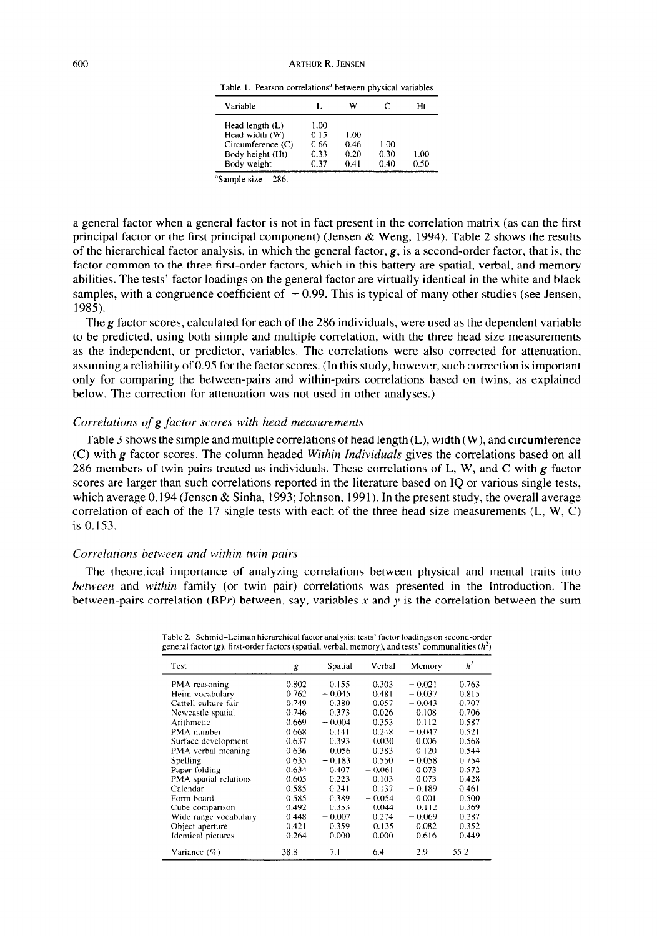**Table** I. **Pearson correlations" between physical variables** 

| Variable                                                                                  |                                      | w                           | r                    | Ht           |
|-------------------------------------------------------------------------------------------|--------------------------------------|-----------------------------|----------------------|--------------|
| Head length (L)<br>Head width (W)<br>Circumference (C)<br>Body height (Ht)<br>Body weight | 1.00<br>0.15<br>0.66<br>0.33<br>በ 37 | 1.00<br>0.46<br>0.20<br>041 | 1.00<br>0.30<br>0.40 | 1.00<br>0.50 |

 $\frac{1}{4}$ Sample size = 286.

a general factor when a general factor is not in fact present in the correlation matrix (as can the first principal factor or the first principal component) (Jensen & Weng, 1994). Table 2 shows the results of the hierarchical factor analysis, in which the general factor,  $g$ , is a second-order factor, that is, the factor common to the three first-order factors, which in this battery are spatial, verbal, and memory abilities. The tests' factor loadings on the general factor are virtually identical in the white and black samples, with a congruence coefficient of  $+0.99$ . This is typical of many other studies (see Jensen, 1985).

The  $g$  factor scores, calculated for each of the 286 individuals, were used as the dependent variable to be predicted, using both simple and multiple correlation, with the three head size measurements as the independent, or predictor, variables. The correlations were also corrected for attenuation, assuming a reliability of 0.95 for the factor scores. (In this study, however, such correction is important only for comparing the between-pairs and within-pairs correlations based on twins, as explained below. The correction for attenuation was not used in other analyses.)

# *Correlations of g factor scores with head measurements*

Table 3 shows the simple and multiple correlations of head length (L), width (W), and circumference (C) with g factor scores. The column headed *Within Individuals* gives the correlations based on all 286 members of twin pairs treated as individuals. These correlations of L, W, and C with  $g$  factor scores are larger than such correlations reported in the literature based on IQ or various single tests, which average  $0.194$  (Jensen & Sinha, 1993; Johnson, 1991). In the present study, the overall average correlation of each of the 17 single tests with each of the three head size measurements (L, W, C) is 0.153.

# *Correlations between and within twin pairs*

The theoretical importance of analyzing correlations between physical and mental traits into *between* and *within* family (or twin pair) correlations was presented in the Introduction. The between-pairs correlation  $(BPr)$  between, say, variables x and y is the correlation between the sum

**Table 2. Schmid-Leiman hierarchical factor analysis: tests' factor loadings on second-order**  general factor ( $\mathbf{g}$ ), first-order factors (spatial, verbal, memory), and tests' communalities  $(h^2)$ 

| Test                  | g     | Spatial   | Verbal    | Memory    | $h^2$ |
|-----------------------|-------|-----------|-----------|-----------|-------|
| PMA reasoning         | 0.802 | 0.155     | 0.303     | $-0.021$  | 0.763 |
| Heim vocabulary       | 0.762 | $-0.045$  | 0.481     | $-0.037$  | 0.815 |
| Cattell culture fair  | 0.749 | 0.380     | 0.057     | $-0.043$  | 0.707 |
| Newcastle spatial     | 0.746 | 0.373     | 0.026     | 0.108     | 0.706 |
| Arithmetic            | 0.669 | $= 0.004$ | 0.353     | 0.112     | 0.587 |
| PMA number            | 0.668 | 0.141     | 0.248     | $= 0.047$ | 0.521 |
| Surface development   | 0.637 | 0.393     | $-0.030$  | 0.006     | 0.568 |
| PMA verbal meaning    | 0.636 | $-0.056$  | 0.383     | 0.120     | 0.544 |
| Spelling              | 0.635 | $-0.183$  | 0.550     | $-0.058$  | 0.754 |
| Paper folding         | 0.634 | 0.407     | $-0.061$  | 0.073     | 0.572 |
| PMA spatial relations | 0.605 | 0.223     | 0.103     | 0.073     | 0.428 |
| Calendar              | 0.585 | 0.241     | 0.137     | $= 0.189$ | 0.461 |
| Form board            | 0.585 | 0.389     | $-0.054$  | 0.001     | 0.500 |
| Cube comparison       | 0.492 | 0.353     | $= 0.044$ | $= 0.112$ | 0.369 |
| Wide range vocabulary | 0.448 | $= 0.007$ | 0.274     | $-0.069$  | 0.287 |
| Object aperture       | 0.421 | 0.359     | $= 0.135$ | 0.082     | 0.352 |
| Identical pictures    | 0.264 | 0.000     | 0.000     | 0.616     | 0.449 |
| Variance (%)          | 38.8  | 7.1       | 6.4       | 2.9       | 55.2  |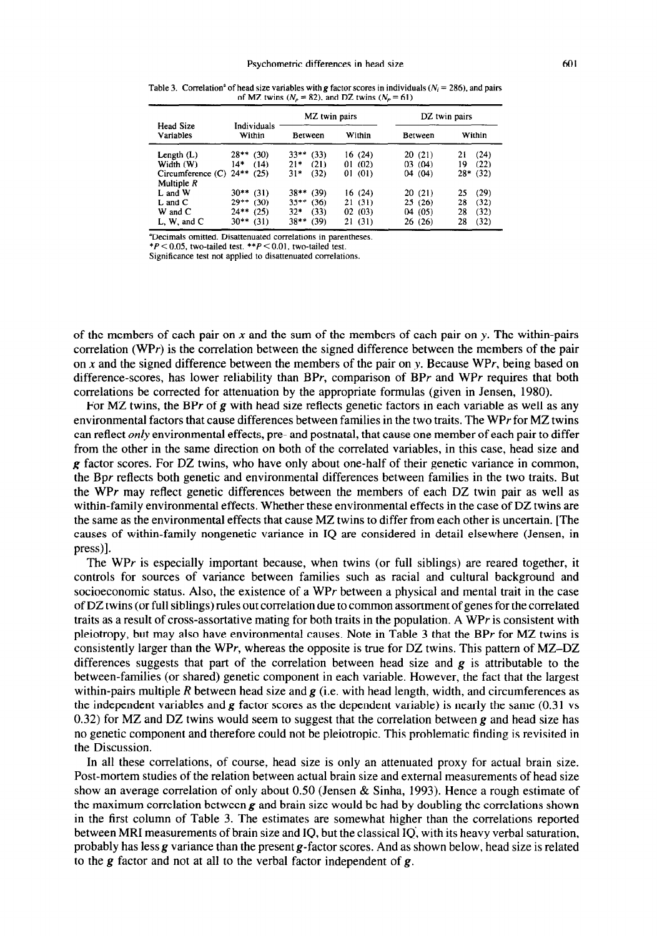|                               |                       | MZ twin pairs   |         |         | DZ twin pairs |  |
|-------------------------------|-----------------------|-----------------|---------|---------|---------------|--|
| <b>Head Size</b><br>Variables | Individuals<br>Within | Between         | Within  | Between | Within        |  |
| Length $(L)$                  | $28**$ (30)           | (33)<br>$33***$ | 16 (24) | 20(21)  | (24)<br>21    |  |
| Width (W)                     | $14*$<br>(14)         | (21)<br>$21*$   | 01 (02) | 03(04)  | (22)<br>19    |  |
| Circumference (C)             | $24***$<br>(25)       | (32)<br>$31*$   | 01 (01) | 04(04)  | $28*(32)$     |  |
| Multiple $R$                  |                       |                 |         |         |               |  |
| L and W                       | $30***$ (31)          | (39)<br>$38**$  | 16(24)  | 20 (21) | (29)<br>25    |  |
| $L$ and $C$                   | $29**$<br>(30)        | $35***$<br>(36) | 21(31)  | 25 (26) | (32)<br>28    |  |
| W and C                       | $24***$ (25)          | (33)<br>$32*$   | 02(03)  | 04 (05) | (32)<br>28    |  |
| $L$ , W, and $C$              | $30***$<br>(31)       | $38**$<br>(39)  | 21 (31) | 26 (26) | (32)<br>28    |  |

Table 3. Correlation<sup>a</sup> of head size variables with g factor scores in individuals ( $N_i = 286$ ), and pairs of MZ twins ( $N_p = 82$ ), and DZ twins ( $N_p = 61$ )

<sup>a</sup>Decimals omitted. Disattenuated correlations in parentheses.

\*P < 0.05, two-tailed test. *\*\*P <* 0.01, two-tailed test.

Significance test not applied to disattenuated correlations.

of the members of each pair on  $x$  and the sum of the members of each pair on  $y$ . The within-pairs correlation (WPr) is the correlation between the signed difference between the members of the pair on x and the signed difference between the members of the pair on y. Because WPr, being based on difference-scores, has lower reliability than BPr, comparison of BPr and WPr requires that both correlations be corrected for attenuation by the appropriate formulas (given in Jensen, 1980).

For MZ twins, the BPr of  $g$  with head size reflects genetic factors in each variable as well as any environmental factors that cause differences between families in the two traits, The WPr for MZ twins can reflect only environmental effects, pre- and postnatal, that cause one member of each pair to differ from the other in the same direction on both of the correlated variables, in this case, head size and  $g$  factor scores. For DZ twins, who have only about one-half of their genetic variance in common, the Bpr reflects both genetic and environmental differences between families in the two traits. But the WPr may reflect genetic differences between the members of each DZ twin pair as well as within-family environmental effects. Whether these environmental effects in the case of DZ twins are the same as the environmental effects that cause MZ twins to differ from each other is uncertain. [The causes of within-family nongenetic variance in IQ are considered in detail elsewhere (Jensen, in press)].

The WPr is especially important because, when twins (or full siblings) are reared together, it controls for sources of variance between families such as racial and cultural background and socioeconomic status. Also, the existence of a WPr between a physical and mental trait in the case of DZ twins (or full siblings) rules out correlation due to common assortment of genes for the correlated traits as a result of cross-assortative mating for both traits in the population. A WPr is consistent with pleiotropy, but may also have environmental causes. Note in Table 3 that the BPr for MZ twins is consistently larger than the WPr, whereas the opposite is true for DZ twins. This pattern of MZ-DZ differences suggests that part of the correlation between head size and  $g$  is attributable to the between-families (or shared) genetic component in each variable. However, the fact that the largest within-pairs multiple  *between head size and*  $*g*$  *(i.e. with head length, width, and circumferences as* the independent variables and  $g$  factor scores as the dependent variable) is nearly the same (0.31 vs 0.32) for MZ and DZ twins would seem to suggest that the correlation between  $g$  and head size has no genetic component and therefore could not be pleiotropic. This problematic finding is revisited in the Discussion.

In all these correlations, of course, head size is only an attenuated proxy for actual brain size. Post-mortem studies of the relation between actual brain size and external measurements of head size show an average correlation of only about 0.50 (Jensen & Sinha, 1993). Hence a rough estimate of the maximum correlation between  $g$  and brain size would be had by doubling the correlations shown in the first column of Table 3. The estimates are somewhat higher than the correlations reported between MRI measurements of brain size and IQ, but the classical IQ', with its heavy verbal saturation, probably has less  $g$  variance than the present  $g$ -factor scores. And as shown below, head size is related to the  $g$  factor and not at all to the verbal factor independent of  $g$ .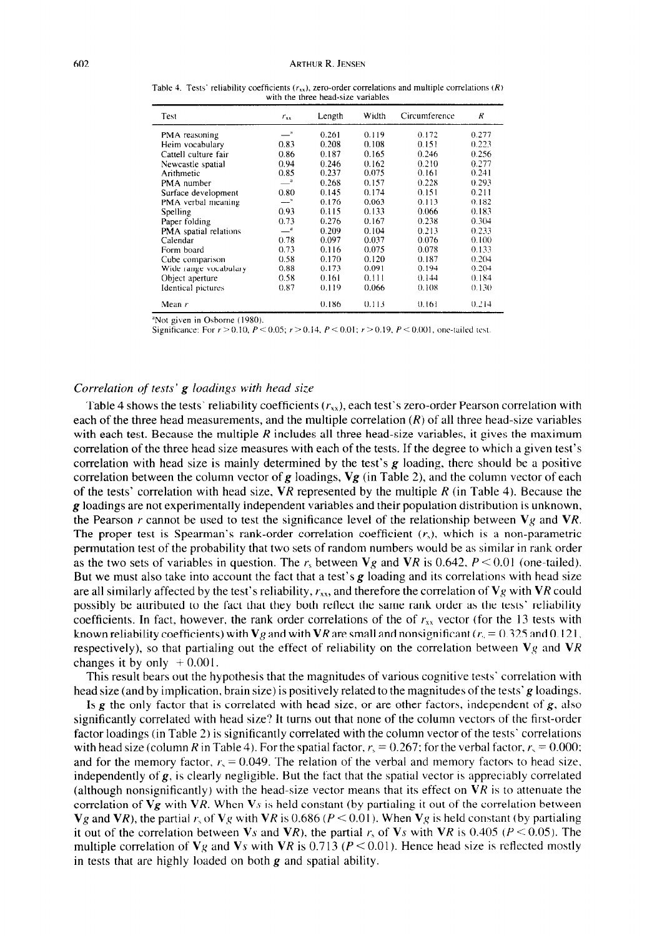| Test                  | $r_{xx}$         | Length | Width | Circumference | R     |
|-----------------------|------------------|--------|-------|---------------|-------|
| PMA reasoning         | $-$ <sup>3</sup> | 0.261  | 0.119 | 0.172         | 0.277 |
| Heim vocabulary       | 0.83             | 0.208  | 0.108 | 0.151         | 0.223 |
| Cattell culture fair  | 0.86             | 0.187  | 0.165 | 0.246         | 0.256 |
| Newcastle spatial     | 0.94             | 0.246  | 0.162 | 0.210         | 0.277 |
| Arithmetic            | 0.85             | 0.237  | 0.075 | 0.161         | 0.241 |
| PMA number            | ____ a           | 0.268  | 0.157 | 0.228         | 0.293 |
| Surface development   | 0.80             | 0.145  | 0.174 | 0.151         | 0.211 |
| PMA verbal meaning    | $-$ <sup>3</sup> | 0.176  | 0.063 | 0.113         | 0.182 |
| Spelling              | 0.93             | 0.115  | 0.133 | 0.066         | 0.183 |
| Paper folding         | 0.73             | 0.276  | 0.167 | 0.238         | 0.304 |
| PMA spatial relations | — <sup>1</sup>   | 0.209  | 0.104 | 0.213         | 0.233 |
| Calendar              | 0.78             | 0.097  | 0.037 | 0.076         | 0.100 |
| Form board            | 0.73             | 0.116  | 0.075 | 0.078         | 0.133 |
| Cube comparison       | 0.58             | 0.170  | 0.120 | 0.187         | 0.204 |
| Wide range vocabulary | 0.88             | 0.173  | 0.091 | 0.194         | 0.204 |
| Object aperture       | 0.58             | 0.161  | 0.111 | 0.144         | 0.184 |
| Identical pictures    | 0.87             | 0.119  | 0.066 | 0.108         | 0.130 |
| Mean $r$              |                  | 0.186  | 0.113 | 0.161         | 0.214 |

Table 4. Tests' reliability coefficients  $(r_{xx})$ , zero-order correlations and multiple correlations  $(R)$ with the three head-size variables

"Not given in Osborne (1980).<br>Significance: For *r* > 0.10, *P* < 0.05; *r* > 0.14, *P* < 0.01; *r* > 0.19, *P* < 0.001, one-tailed test

# *Correlation of tests' g loadings with head size*

Table 4 shows the tests' reliability coefficients  $(r_{xx})$ , each test's zero-order Pearson correlation with each of the three head measurements, and the multiple correlation  $(R)$  of all three head-size variables with each test. Because the multiple *R* includes all three head-size variables, it gives the maximum correlation of the three head size measures with each of the tests. If the degree to which a given test's correlation with head size is mainly determined by the test's  $g$  loading, there should be a positive correlation between the column vector of g loadings,  $Vg$  (in Table 2), and the column vector of each of the tests' correlation with head size, VR represented by the multiple *R* (in Table 4). Because the  $g$  loadings are not experimentally independent variables and their population distribution is unknown, the Pearson *r* cannot be used to test the significance level of the relationship between  $V_g$  and  $VR$ . The proper test is Spearman's rank-order correlation coefficient *(r,),* which is a non-parametric permutation test of the probability that two sets of random numbers would be as similar in rank order as the two sets of variables in question. The  $r<sub>s</sub>$  between Vg and VR is 0.642,  $P \le 0.01$  (one-tailed). But we must also take into account the fact that a test's  $g$  loading and its correlations with head size are all similarly affected by the test's reliability,  $r_{xx}$ , and therefore the correlation of  $Vg$  with  $VR$  could possibly be attributed to the fact that they both reflect the same rank order as the tests' reliability coefficients. In fact, however, the rank order correlations of the of  $r_{xx}$  vector (for the 13 tests with known reliability coefficients) with  $Vg$  and with  $VR$  are small and nonsignificant  $(r_s = 0.325$  and  $0.121$ , respectively), so that partialing out the effect of reliability on the correlation between  $V_g$  and  $VR$ changes it by only  $+0.001$ .

This result bears out the hypothesis that the magnitudes of various cognitive tests' correlation with head size (and by implication, brain size) is positively related to the magnitudes of the tests' g loadings.

Is  $g$  the only factor that is correlated with head size, or are other factors, independent of  $g$ , also significantly correlated with head size? It turns out that none of the column vectors of the first-order factor loadings (in Table 2) is significantly correlated with the column vector of the tests' correlations with head size (column *R* in Table 4). For the spatial factor,  $r_s = 0.267$ ; for the verbal factor,  $r_s = 0.000$ ; and for the memory factor,  $r_s = 0.049$ . The relation of the verbal and memory factors to head size, independently of  $g$ , is clearly negligible. But the fact that the spatial vector is appreciably correlated (although nonsignificantly) with the head-size vector means that its effect on  $VR$  is to attenuate the correlation of  $Vg$  with  $VR$ . When  $Vs$  is held constant (by partialing it out of the correlation between  $V_g$  and VR), the partial  $r_s$  of  $V_g$  with VR is 0.686 ( $P < 0.01$ ). When  $V_g$  is held constant (by partialing it out of the correlation between Vs and VR), the partial  $r_s$  of Vs with VR is 0.405 ( $P < 0.05$ ). The multiple correlation of  $V_g$  and  $V_s$  with  $VR$  is 0.713 ( $P \le 0.01$ ). Hence head size is reflected mostly in tests that are highly loaded on both  $g$  and spatial ability.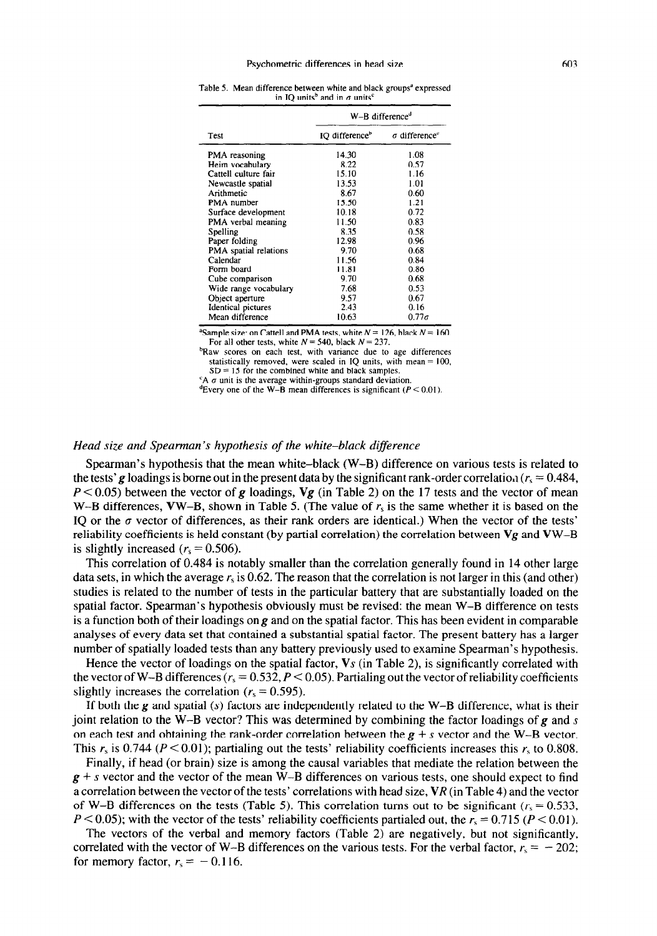|                                          | W-B difference <sup>d</sup> |                                  |  |
|------------------------------------------|-----------------------------|----------------------------------|--|
| Test                                     | IO difference <sup>b</sup>  | $\sigma$ difference <sup>c</sup> |  |
| PMA reasoning<br>Heim vocabulary         | 14.30<br>8.22               | 1.08<br>0.57                     |  |
| Cattell culture fair                     | 15.10                       | 1.16                             |  |
| Newcastle spatial<br>Arithmetic          | 13.53<br>8.67               | 1.01<br>0.60                     |  |
| PMA number<br>Surface development        | 15.50<br>10.18              | 1.21<br>0.72                     |  |
| PMA verbal meaning                       | 11.50                       | 0.83                             |  |
| Spelling<br>Paper folding                | 8.35<br>12.98               | 0.58<br>0.96                     |  |
| PMA spatial relations<br>Calendar        | 9.70<br>11.56               | 0.68<br>0.84                     |  |
| Form board                               | 11.81                       | 0.86                             |  |
| Cube comparison<br>Wide range vocabulary | 9.70<br>7.68                | 0.68<br>0.53                     |  |
| Object aperture                          | 9.57<br>2.43                | 0.67<br>0.16                     |  |
| Identical pictures<br>Mean difference    | 10.63                       | $0.77\sigma$                     |  |

Table 5. Mean difference between white and black groups' expressed in IQ units<sup>b</sup> and in  $\sigma$  units<sup>c</sup>

"Sample size: on Cattell and PMA tests, white  $N = 126$ , black  $N = 160$ . For all other tests, white  $N = 540$ , black  $N = 237$ .

**Raw scores on each test, with variance due to age differences** statistically removed. were scaled in IQ units, with mean = 100,  $SD = 15$  for the combined white and black samples.

A  $\sigma$  unit is the average within-groups standard deviation.

<sup>d</sup>Every one of the W-B mean differences is significant ( $P \le 0.01$ ).

# *Head size and Spearman's hypothesis of the white-black difference*

Spearman's hypothesis that the mean white-black (W-B) difference on various tests is related to the tests' g loadings is borne out in the present data by the significant rank-order correlation ( $r_s = 0.484$ ,  $P < 0.05$ ) between the vector of g loadings, Vg (in Table 2) on the 17 tests and the vector of mean W-B differences, VW-B, shown in Table 5. (The value of  $r<sub>s</sub>$  is the same whether it is based on the IQ or the  $\sigma$  vector of differences, as their rank orders are identical.) When the vector of the tests' reliability coefficients is held constant (by partial correlation) the correlation between  $Vg$  and  $VW-B$ is slightly increased  $(r_s = 0.506)$ .

This correlation of 0.484 is notably smaller than the correlation generally found in 14 other large data sets, in which the average  $r_s$  is 0.62. The reason that the correlation is not larger in this (and other) studies is related to the number of tests in the particular battery that are substantially loaded on the spatial factor. Spearman's hypothesis obviously must be revised: the mean W-B difference on tests is a function both of their loadings on  $g$  and on the spatial factor. This has been evident in comparable analyses of every data set that contained a substantial spatial factor. The present battery has a larger number of spatially loaded tests than any battery previously used to examine Spearman's hypothesis.

Hence the vector of loadings on the spatial factor,  $V_s$  (in Table 2), is significantly correlated with the vector of W-B differences ( $r_s = 0.532$ ,  $P \le 0.05$ ). Partialing out the vector of reliability coefficients slightly increases the correlation ( $r_s = 0.595$ ).

If both the  $g$  and spatial (s) factors are independently related to the W-B difference, what is their joint relation to the W-B vector? This was determined by combining the factor loadings of  $g$  and s on each test and obtaining the rank-order correlation between the  $g + s$  vector and the W-B vector. This  $r_s$  is 0.744 ( $P < 0.01$ ); partialing out the tests' reliability coefficients increases this  $r_s$  to 0.808.

Finally, if head (or brain) size is among the causal variables that mediate the relation between the  $g + s$  vector and the vector of the mean W-B differences on various tests, one should expect to find a correlation between the vector of the tests' correlations with head size,  $VR$  (in Table 4) and the vector of W-B differences on the tests (Table 5). This correlation turns out to be significant ( $r<sub>s</sub> = 0.533$ ,  $P < 0.05$ ; with the vector of the tests' reliability coefficients partialed out, the  $r_s = 0.715$  ( $P < 0.01$ ).

The vectors of the verbal and memory factors (Table 2) are negatively, but not significantly, correlated with the vector of W-B differences on the various tests. For the verbal factor,  $r_s = -202$ ; for memory factor,  $r_s = -0.116$ .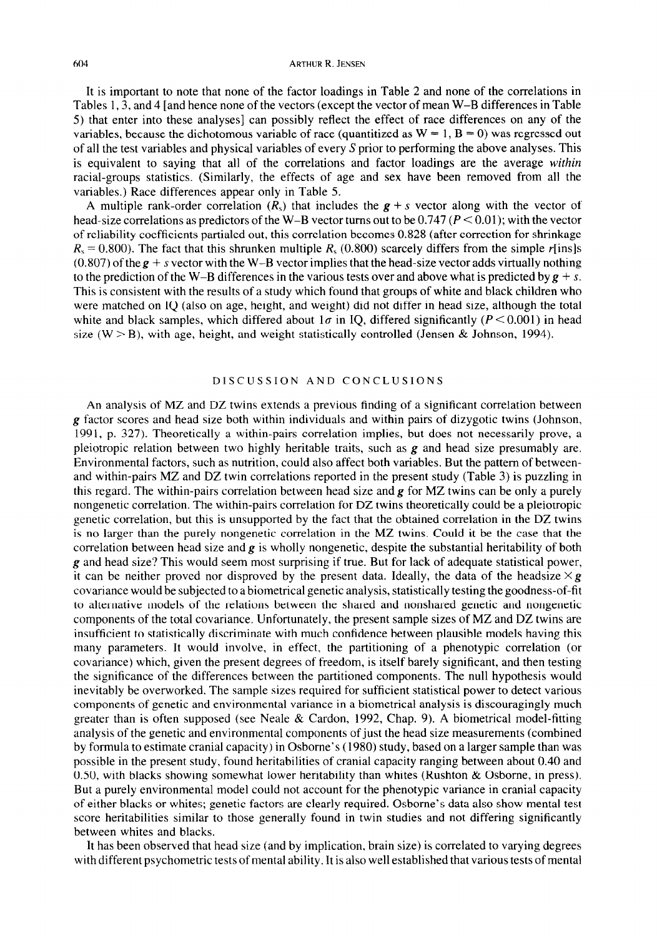It is important to note that none of the factor loadings in Table 2 and none of the correlations in Tables 1,3, and 4 [and hence none of the vectors (except the vector of mean W-B differences in Table 5) that enter into these analyses] can possibly reflect the effect of race differences on any of the variables, because the dichotomous variable of race (quantitized as  $W = 1$ ,  $B = 0$ ) was regressed out of all the test variables and physical variables of every S prior to performing the above analyses. This is equivalent to saying that all of the correlations and factor loadings are the average within racial-groups statistics. (Similarly, the effects of age and sex have been removed from all the variables.) Race differences appear only in Table 5.

A multiple rank-order correlation  $(R<sub>s</sub>)$  that includes the  $g + s$  vector along with the vector of head-size correlations as predictors of the W-B vector turns out to be  $0.747 (P \le 0.01)$ ; with the vector of reliability coefficients partialed out, this correlation becomes 0.828 (after correction for shrinkage  $R_s = 0.800$ ). The fact that this shrunken multiple  $R_s$  (0.800) scarcely differs from the simple *r*[ins]s (0.807) of the  $g + s$  vector with the W-B vector implies that the head-size vector adds virtually nothing to the prediction of the W-B differences in the various tests over and above what is predicted by  $g + s$ . This is consistent with the results of a study which found that groups of white and black children who were matched on IQ (also on age, height, and weight) did not differ in head size, although the total white and black samples, which differed about  $1\sigma$  in IQ, differed significantly ( $P \le 0.001$ ) in head size (W  $>$  B), with age, height, and weight statistically controlled (Jensen & Johnson, 1994).

# **DISCUSSION AND CONCLUSIONS**

An analysis of MZ and DZ twins extends a previous finding of a significant correlation between g factor scores and head size both within individuals and within pairs of dizygotic twins (Johnson, 1991, p. 327). Theoretically a within-pairs correlation implies, but does not necessarily prove, a pleiotropic relation between two highly heritable traits, such as  $g$  and head size presumably are. Environmental factors, such as nutrition, could also affect both variables. But the pattern of betweenand within-pairs MZ and DZ twin correlations reported in the present study (Table 3) is puzzling in this regard. The within-pairs correlation between head size and  $g$  for MZ twins can be only a purely nongenetic correlation. The within-pairs correlation for DZ twins theoretically could be a pleiotropic genetic correlation, but this is unsupported by the fact that the obtained correlation in the DZ twins is no larger than the purely nongenetic correlation in the MZ twins. Could it be the case that the correlation between head size and  $g$  is wholly nongenetic, despite the substantial heritability of both g and head size? This would seem most surprising if true. But for lack of adequate statistical power, it can be neither proved nor disproved by the present data. Ideally, the data of the headsize  $\times g$ covariance would be subjected to a biometrical genetic analysis, statistically testing the goodness-of-fit to alternative models of the relations between the shared and nonshared genetic and nongenetic components of the total covariance. Unfortunately, the present sample sizes of MZ and DZ twins are insufficient to statistically discriminate with much confidence between plausible models having this many parameters. It would involve, in effect, the partitioning of a phenotypic correlation (or covariance) which, given the present degrees of freedom, is itself barely significant, and then testing the significance of the differences between the partitioned components. The null hypothesis would inevitably be overworked. The sample sizes required for sufficient statistical power to detect various components of genetic and environmental variance in a biometrical analysis is discouragingly much greater than is often supposed (see Neale & Cardon, 1992, Chap. 9). A biometrical model-fitting analysis of the genetic and environmental components of just the head size measurements (combined by formula to estimate cranial capacity) in Osborne's (1980) study, based on a larger sample than was possible in the present study, found heritabilities of cranial capacity ranging between about 0.40 and 0.50, with blacks showing somewhat lower heritability than whites (Rushton & Osborne, in press). But a purely environmental model could not account for the phenotypic variance in cranial capacity of either blacks or whites; genetic factors are clearly required. Osborne's data also show mental test score heritabilities similar to those generally found in twin studies and not differing significantly between whites and blacks.

It has been observed that head size (and by implication, brain size) is correlated to varying degrees with different psychometric tests of mental ability. It is also well established that various tests of mental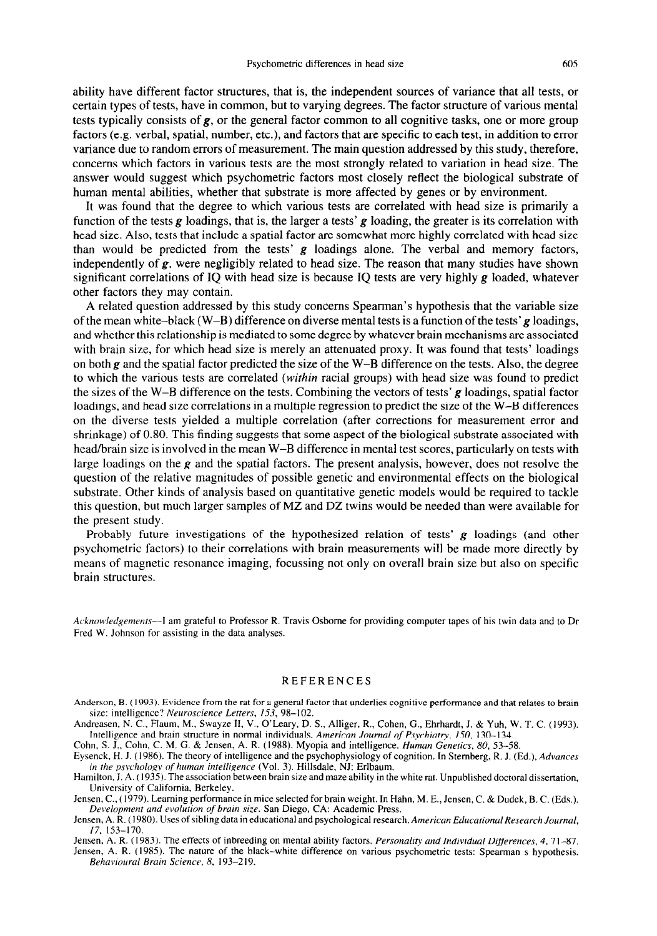ability have different factor structures, that is, the independent sources of variance that all tests, or certain types of tests, have in common, but to varying degrees. The factor structure of various mental tests typically consists of  $g$ , or the general factor common to all cognitive tasks, one or more group factors (e.g. verbal, spatial, number, etc.), and factors that are specific to each test, in addition to error variance due to random errors of measurement. The main question addressed by this study, therefore, concerns which factors in various tests are the most strongly related to variation in head size. The answer would suggest which psychometric factors most closely reflect the biological substrate of human mental abilities, whether that substrate is more affected by genes or by environment.

It was found that the degree to which various tests are correlated with head size is primarily a function of the tests  $g$  loadings, that is, the larger a tests'  $g$  loading, the greater is its correlation with head size. Also, tests that include a spatial factor are somewhat more highly correlated with head size than would be predicted from the tests'  $g$  loadings alone. The verbal and memory factors, independently of  $g$ , were negligibly related to head size. The reason that many studies have shown significant correlations of IQ with head size is because IQ tests are very highly  $g$  loaded, whatever other factors they may contain.

A related question addressed by this study concerns Spearman's hypothesis that the variable size of the mean white-black (W-B) difference on diverse mental tests is a function of the tests'  $g$  loadings, and whether this relationship is mediated to some degree by whatever brain mechanisms are associated with brain size, for which head size is merely an attenuated proxy. It was found that tests' loadings on both g and the spatial factor predicted the size of the W-B difference on the tests. Also, the degree to which the various tests are correlated *(within* racial groups) with head size was found to predict the sizes of the W-B difference on the tests. Combining the vectors of tests' g loadings, spatial factor loadings, and head size correlations in a multiple regression to predict the size of the W-B differences on the diverse tests yielded a multiple correlation (after corrections for measurement error and shrinkage) of 0.80. This finding suggests that some aspect of the biological substrate associated with head/brain size is involved in the mean W-B difference in mental test scores, particularly on tests with large loadings on the  $g$  and the spatial factors. The present analysis, however, does not resolve the question of the relative magnitudes of possible genetic and environmental effects on the biological substrate. Other kinds of analysis based on quantitative genetic models would be required to tackle this question, but much larger samples of MZ and DZ twins would be needed than were available for the present study.

Probably future investigations of the hypothesized relation of tests'  $g$  loadings (and other psychometric factors) to their correlations with brain measurements will be made more directly by means of magnetic resonance imaging, focussing not only on overall brain size but also on specific brain structures.

Acknowledgements--I am grateful to Professor R. Travis Osborne for providing computer tapes of his twin data and to Dr Fred W. Johnson for assisting in the data analyses.

#### REFERENCES

- Anderson, B. (1993). Evidence from the rat for a general factor that underlies cognitive performance and that relates to brain size: intelligence? Neuroscience Letters, 153, 98-102.
- Andreasen, N. C., Flaum, M., Swayze II, V., O'Leary, D. S., Alliger, R., Cohen. G., Ehrhardt, J. & **Yuh.** W. T. C. (1993). Intelligence and brain structure in normal individuals, *American Journal of Psychiatry, 150,* 130–134.

Cohn. S. J., Cohn. C. M. G. & Jensen, A. R. (1988). Myopia and intelligence. *Human Genetics*, 80, 53-58.

- Eysenck, H. J. (1986). The theory of intelligence and the psychophysiology of cognition. In Stemberg; R. J. (Ed.), *Advances in the psychology of human intelligence* (Vol. 3). Hillsdale, NJ: Erlbaum.
- Hamilton, J. A. ( 1935). The association between brain size and maze ability in the white rat. Unpublished doctoral dissertation, University of California, Berkeley.
- Jensen, C., (1979). Learning performance in mice selected for brain weight. In Hahn, M. E., Jensen, C. & Dudek, B. C. (Eds.). *Development and evolution of brain size.* San Diego, CA: Academic Press.
- Jensen, A. R. (1980). Uses of sibling data in educational and psychological research. *American Educational Research Journal, 17. 153-170.*
- Jensen, A. R. (1983). The effects of inbreeding on mental ability factors. *Personality and Individual Differences*, 4, 71-87.
- Jensen, A. R. (1985). The nature of the black-white difference on various psychometric tests: Spearman s hypothesis. *Behavioural Bruin Science, 8,* 193-2 19.